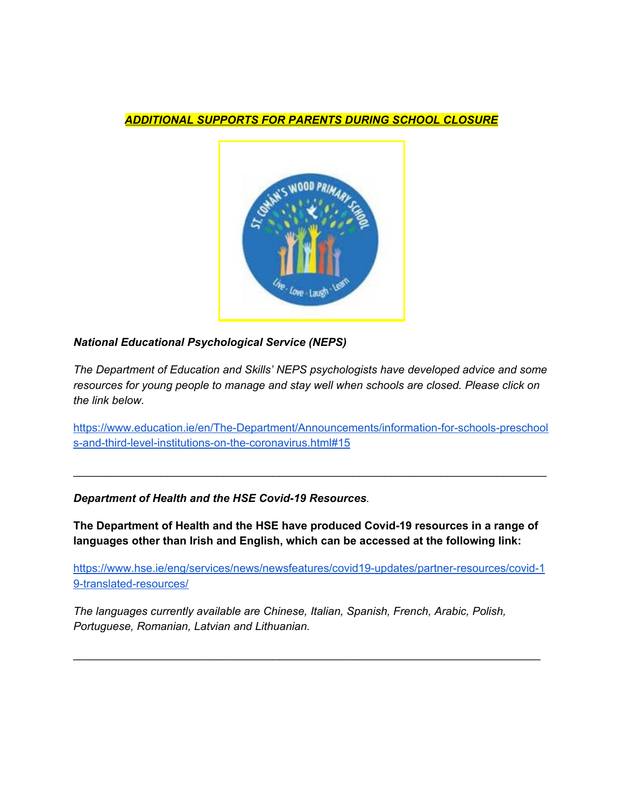### *ADDITIONAL SUPPORTS FOR PARENTS DURING SCHOOL CLOSURE*



# *National Educational Psychological Service (NEPS)*

*The Department of Education and Skills' NEPS psychologists have developed advice and some resources for young people to manage and stay well when schools are closed. Please click on the link below.*

[https://www.education.ie/en/The-Department/Announcements/information-for-schools-preschool](https://www.education.ie/en/The-Department/Announcements/information-for-schools-preschools-and-third-level-institutions-on-the-coronavirus.html#15) [s-and-third-level-institutions-on-the-coronavirus.html#15](https://www.education.ie/en/The-Department/Announcements/information-for-schools-preschools-and-third-level-institutions-on-the-coronavirus.html#15)

\_\_\_\_\_\_\_\_\_\_\_\_\_\_\_\_\_\_\_\_\_\_\_\_\_\_\_\_\_\_\_\_\_\_\_\_\_\_\_\_\_\_\_\_\_\_\_\_\_\_\_\_\_\_\_\_\_\_\_\_\_\_\_\_\_\_\_\_\_\_\_\_\_\_\_\_

*Department of Health and the HSE Covid-19 Resources.*

**The Department of Health and the HSE have produced Covid-19 resources in a range of languages other than Irish and English, which can be accessed at the following link:**

[https://www.hse.ie/eng/services/news/newsfeatures/covid19-updates/partner-resources/covid-1](https://www.hse.ie/eng/services/news/newsfeatures/covid19-updates/partner-resources/covid-19-translated-resources/) [9-translated-resources/](https://www.hse.ie/eng/services/news/newsfeatures/covid19-updates/partner-resources/covid-19-translated-resources/)

\_\_\_\_\_\_\_\_\_\_\_\_\_\_\_\_\_\_\_\_\_\_\_\_\_\_\_\_\_\_\_\_\_\_\_\_\_\_\_\_\_\_\_\_\_\_\_\_\_\_\_\_\_\_\_\_\_\_\_\_\_\_\_\_\_\_\_\_\_\_\_\_\_\_\_

*The languages currently available are Chinese, Italian, Spanish, French, Arabic, Polish, Portuguese, Romanian, Latvian and Lithuanian.*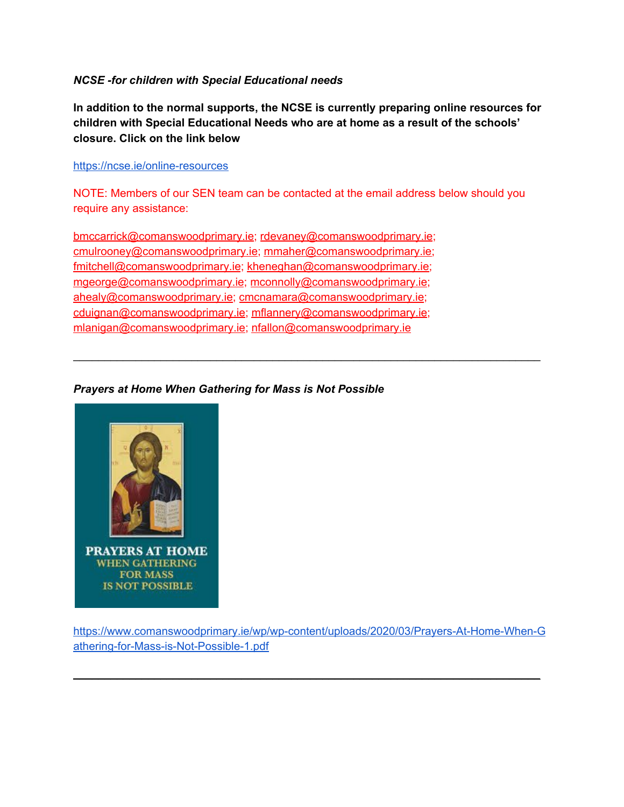### *NCSE -for children with Special Educational needs*

**In addition to the normal supports, the NCSE is currently preparing online resources for children with Special Educational Needs who are at home as a result of the schools' closure. Click on the link below**

#### <https://ncse.ie/online-resources>

NOTE: Members of our SEN team can be contacted at the email address below should you require any assistance:

\_\_\_\_\_\_\_\_\_\_\_\_\_\_\_\_\_\_\_\_\_\_\_\_\_\_\_\_\_\_\_\_\_\_\_\_\_\_\_\_\_\_\_\_\_\_\_\_\_\_\_\_\_\_\_\_\_\_\_\_\_\_\_\_\_\_\_\_\_\_\_\_\_\_\_

[bmccarrick@comanswoodprimary.ie](mailto:bmccarrick@comanswoodprimary.ie); [rdevaney@comanswoodprimary.ie](mailto:rdevaney@comanswoodprimary.ie); [cmulrooney@comanswoodprimary.ie;](mailto:cmulrooney@comanswoodprimary.ie) [mmaher@comanswoodprimary.ie;](mailto:mmaher@comanswoodprimary.ie) [fmitchell@comanswoodprimary.ie](mailto:fmitchell@comanswoodprimary.ie); [kheneghan@comanswoodprimary.ie;](mailto:kheneghan@comanswoodprimary.ie) [mgeorge@comanswoodprimary.ie](mailto:mgeorge@comanswoodprimary.ie); [mconnolly@comanswoodprimary.ie](mailto:mconnolly@comanswoodprimary.ie); [ahealy@comanswoodprimary.ie;](mailto:ahealy@comanswoodprimary.ie) [cmcnamara@comanswoodprimary.ie](mailto:cmcnamara@comanswoodprimary.ie); [cduignan@comanswoodprimary.ie;](mailto:cduignan@comanswoodprimary.ie) [mflannery@comanswoodprimary.ie](mailto:mflannery@comanswoodprimary.ie); [mlanigan@comanswoodprimary.ie;](mailto:mlanigan@comanswoodprimary.ie) [nfallon@comanswoodprimary.ie](mailto:nfallon@comanswoodprimary.ie)

# *Prayers at Home When Gathering for Mass is Not Possible*



[https://www.comanswoodprimary.ie/wp/wp-content/uploads/2020/03/Prayers-At-Home-When-G](https://www.comanswoodprimary.ie/wp/wp-content/uploads/2020/03/Prayers-At-Home-When-Gathering-for-Mass-is-Not-Possible-1.pdf) [athering-for-Mass-is-Not-Possible-1.pdf](https://www.comanswoodprimary.ie/wp/wp-content/uploads/2020/03/Prayers-At-Home-When-Gathering-for-Mass-is-Not-Possible-1.pdf)

 $\mathcal{L}_\text{max} = \mathcal{L}_\text{max} = \mathcal{L}_\text{max} = \mathcal{L}_\text{max} = \mathcal{L}_\text{max} = \mathcal{L}_\text{max} = \mathcal{L}_\text{max} = \mathcal{L}_\text{max} = \mathcal{L}_\text{max} = \mathcal{L}_\text{max} = \mathcal{L}_\text{max} = \mathcal{L}_\text{max} = \mathcal{L}_\text{max} = \mathcal{L}_\text{max} = \mathcal{L}_\text{max} = \mathcal{L}_\text{max} = \mathcal{L}_\text{max} = \mathcal{L}_\text{max} = \mathcal{$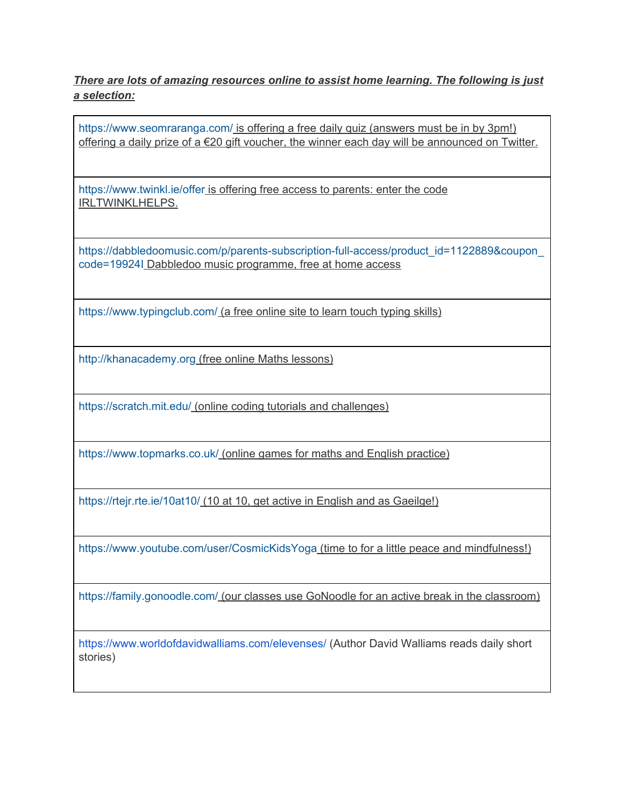*There are lots of amazing resources online to assist home learning. The following is just a selection:*

<https://www.seomraranga.com/> is offering a free daily quiz (answers must be in by 3pm!) offering a daily prize of a €20 gift voucher, the winner each day will be announced on Twitter.

<https://www.twinkl.ie/offer> is offering free access to parents: enter the code IRLTWINKLHELPS.

[https://dabbledoomusic.com/p/parents-subscription-full-access/product\\_id=1122889&coupon\\_](https://dabbledoomusic.com/p/parents-subscription-full-access/product_id=1122889&coupon_code=19924I) [code=19924I](https://dabbledoomusic.com/p/parents-subscription-full-access/product_id=1122889&coupon_code=19924I) Dabbledoo music programme, free at home access

<https://www.typingclub.com/> (a free online site to learn touch typing skills)

[http://khanacademy.org](http://khanacademy.org/) (free online Maths lessons)

<https://scratch.mit.edu/> (online coding tutorials and challenges)

<https://www.topmarks.co.uk/> (online games for maths and English practice)

<https://rtejr.rte.ie/10at10/> (10 at 10, get active in English and as Gaeilge!)

<https://www.youtube.com/user/CosmicKidsYoga> (time to for a little peace and mindfulness!)

<https://family.gonoodle.com/> (our classes use GoNoodle for an active break in the classroom)

<https://www.worldofdavidwalliams.com/elevenses/> (Author David Walliams reads daily short stories)